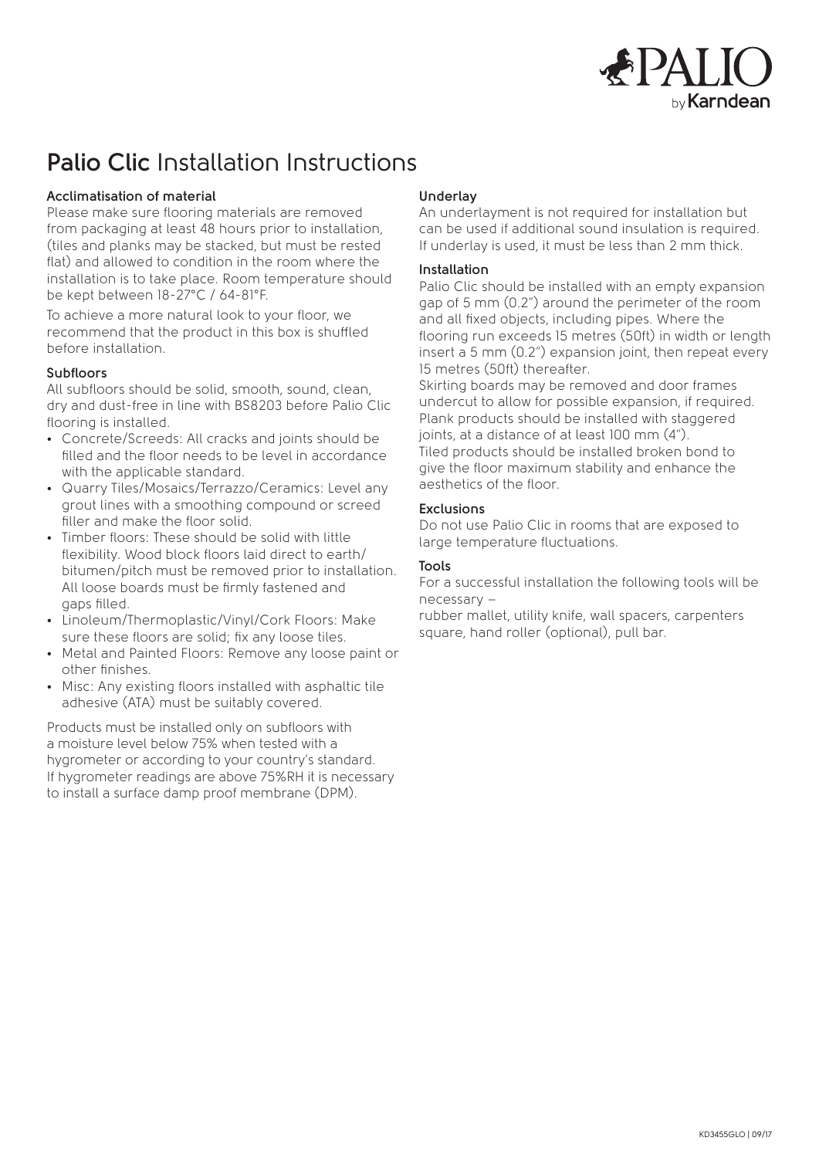

# **Palio Clic** Installation Instructions

# **Acclimatisation of material**

Please make sure flooring materials are removed from packaging at least 48 hours prior to installation, (tiles and planks may be stacked, but must be rested flat) and allowed to condition in the room where the installation is to take place. Room temperature should be kept between 18-27°C / 64-81°F.

To achieve a more natural look to your floor, we recommend that the product in this box is shuffled before installation.

#### **Subfloors**

All subfloors should be solid, smooth, sound, clean, dry and dust-free in line with BS8203 before Palio Clic flooring is installed.

- Concrete/Screeds: All cracks and joints should be filled and the floor needs to be level in accordance with the applicable standard.
- Quarry Tiles/Mosaics/Terrazzo/Ceramics: Level any grout lines with a smoothing compound or screed filler and make the floor solid.
- Timber floors: These should be solid with little flexibility. Wood block floors laid direct to earth/ bitumen/pitch must be removed prior to installation. All loose boards must be firmly fastened and gaps filled.
- Linoleum/Thermoplastic/Vinyl/Cork Floors: Make sure these floors are solid; fix any loose tiles.
- Metal and Painted Floors: Remove any loose paint or other finishes.
- Misc: Any existing floors installed with asphaltic tile adhesive (ATA) must be suitably covered.

Products must be installed only on subfloors with a moisture level below 75% when tested with a hygrometer or according to your country's standard. If hygrometer readings are above 75%RH it is necessary to install a surface damp proof membrane (DPM).

# **Underlay**

An underlayment is not required for installation but can be used if additional sound insulation is required. If underlay is used, it must be less than 2 mm thick.

#### **Installation**

Palio Clic should be installed with an empty expansion gap of 5 mm (0.2") around the perimeter of the room and all fixed objects, including pipes. Where the flooring run exceeds 15 metres (50ft) in width or length insert a 5 mm (0.2") expansion joint, then repeat every 15 metres (50ft) thereafter.

Skirting boards may be removed and door frames undercut to allow for possible expansion, if required. Plank products should be installed with staggered joints, at a distance of at least 100 mm (4"). Tiled products should be installed broken bond to give the floor maximum stability and enhance the aesthetics of the floor.

## **Exclusions**

Do not use Palio Clic in rooms that are exposed to large temperature fluctuations.

## **Tools**

For a successful installation the following tools will be necessary –

rubber mallet, utility knife, wall spacers, carpenters square, hand roller (optional), pull bar.